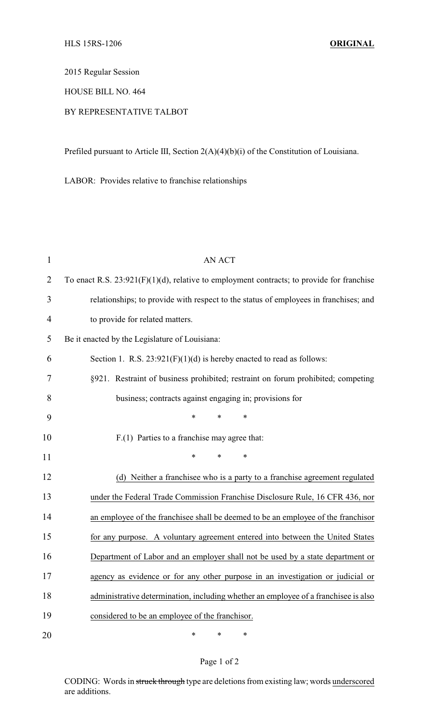2015 Regular Session

HOUSE BILL NO. 464

## BY REPRESENTATIVE TALBOT

Prefiled pursuant to Article III, Section 2(A)(4)(b)(i) of the Constitution of Louisiana.

LABOR: Provides relative to franchise relationships

| $\mathbf{1}$   | AN ACT                                                                                       |  |  |
|----------------|----------------------------------------------------------------------------------------------|--|--|
| $\overline{2}$ | To enact R.S. $23:921(F)(1)(d)$ , relative to employment contracts; to provide for franchise |  |  |
| 3              | relationships; to provide with respect to the status of employees in franchises; and         |  |  |
| $\overline{4}$ | to provide for related matters.                                                              |  |  |
| 5              | Be it enacted by the Legislature of Louisiana:                                               |  |  |
| 6              | Section 1. R.S. $23:921(F)(1)(d)$ is hereby enacted to read as follows:                      |  |  |
| 7              | §921. Restraint of business prohibited; restraint on forum prohibited; competing             |  |  |
| 8              | business; contracts against engaging in; provisions for                                      |  |  |
| 9              | *<br>$\ast$<br>$\ast$                                                                        |  |  |
| 10             | F.(1) Parties to a franchise may agree that:                                                 |  |  |
| 11             | $\ast$<br>*<br>*                                                                             |  |  |
| 12             | (d) Neither a franchisee who is a party to a franchise agreement regulated                   |  |  |
| 13             | under the Federal Trade Commission Franchise Disclosure Rule, 16 CFR 436, nor                |  |  |
| 14             | an employee of the franchisee shall be deemed to be an employee of the franchisor            |  |  |
| 15             | for any purpose. A voluntary agreement entered into between the United States                |  |  |
| 16             | Department of Labor and an employer shall not be used by a state department or               |  |  |
| 17             | agency as evidence or for any other purpose in an investigation or judicial or               |  |  |
| 18             | administrative determination, including whether an employee of a franchisee is also          |  |  |
| 19             | considered to be an employee of the franchisor.                                              |  |  |
| 20             | $\ast$<br>$\ast$<br>*                                                                        |  |  |

## Page 1 of 2

CODING: Words in struck through type are deletions from existing law; words underscored are additions.